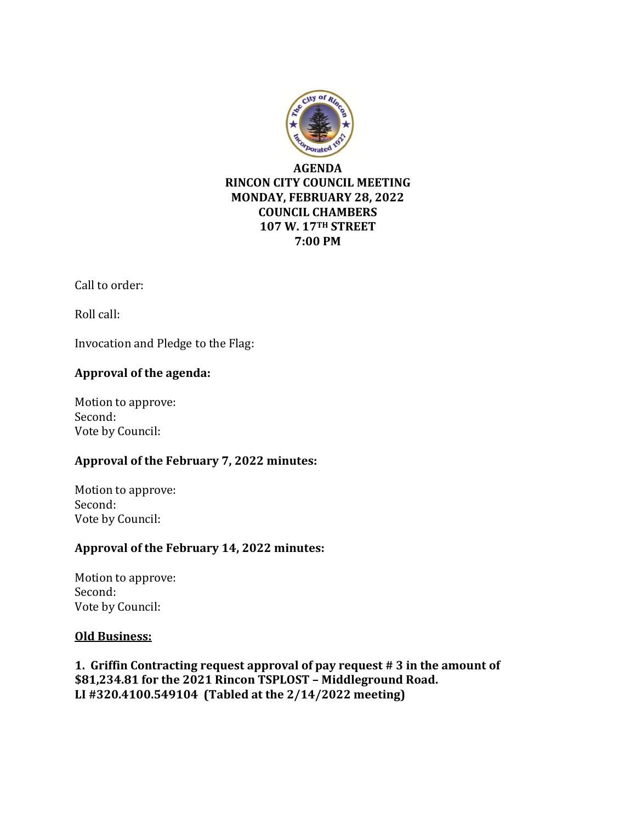

Call to order:

Roll call:

Invocation and Pledge to the Flag:

## **Approval of the agenda:**

Motion to approve: Second: Vote by Council:

## **Approval of the February 7, 2022 minutes:**

Motion to approve: Second: Vote by Council:

# **Approval of the February 14, 2022 minutes:**

Motion to approve: Second: Vote by Council:

## **Old Business:**

**1. Griffin Contracting request approval of pay request # 3 in the amount of \$81,234.81 for the 2021 Rincon TSPLOST – Middleground Road. LI #320.4100.549104 (Tabled at the 2/14/2022 meeting)**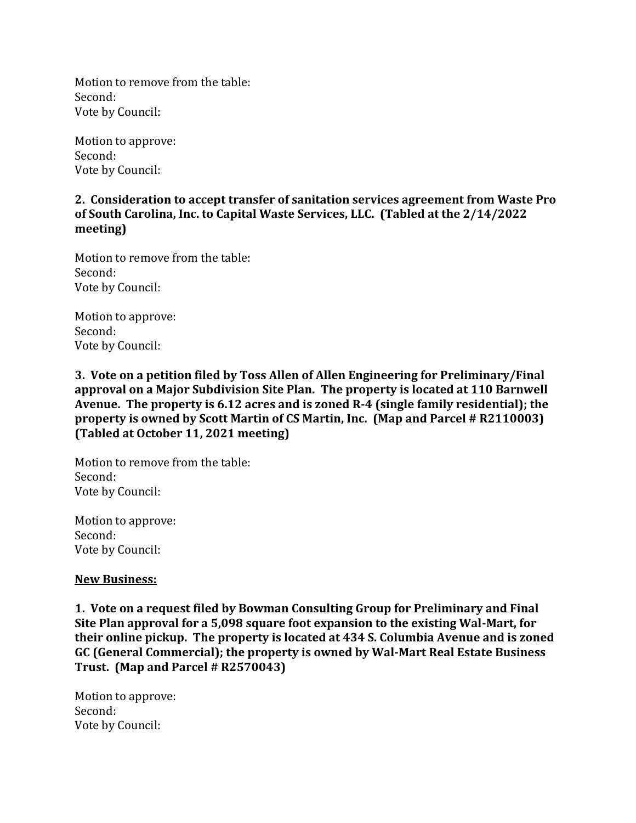Motion to remove from the table: Second: Vote by Council:

Motion to approve: Second: Vote by Council:

## **2. Consideration to accept transfer of sanitation services agreement from Waste Pro of South Carolina, Inc. to Capital Waste Services, LLC. (Tabled at the 2/14/2022 meeting)**

Motion to remove from the table: Second: Vote by Council:

Motion to approve: Second: Vote by Council:

**3. Vote on a petition filed by Toss Allen of Allen Engineering for Preliminary/Final approval on a Major Subdivision Site Plan. The property is located at 110 Barnwell Avenue. The property is 6.12 acres and is zoned R-4 (single family residential); the property is owned by Scott Martin of CS Martin, Inc. (Map and Parcel # R2110003) (Tabled at October 11, 2021 meeting)**

Motion to remove from the table: Second: Vote by Council:

Motion to approve: Second: Vote by Council:

## **New Business:**

**1. Vote on a request filed by Bowman Consulting Group for Preliminary and Final Site Plan approval for a 5,098 square foot expansion to the existing Wal-Mart, for their online pickup. The property is located at 434 S. Columbia Avenue and is zoned GC (General Commercial); the property is owned by Wal-Mart Real Estate Business Trust. (Map and Parcel # R2570043)**

Motion to approve: Second: Vote by Council: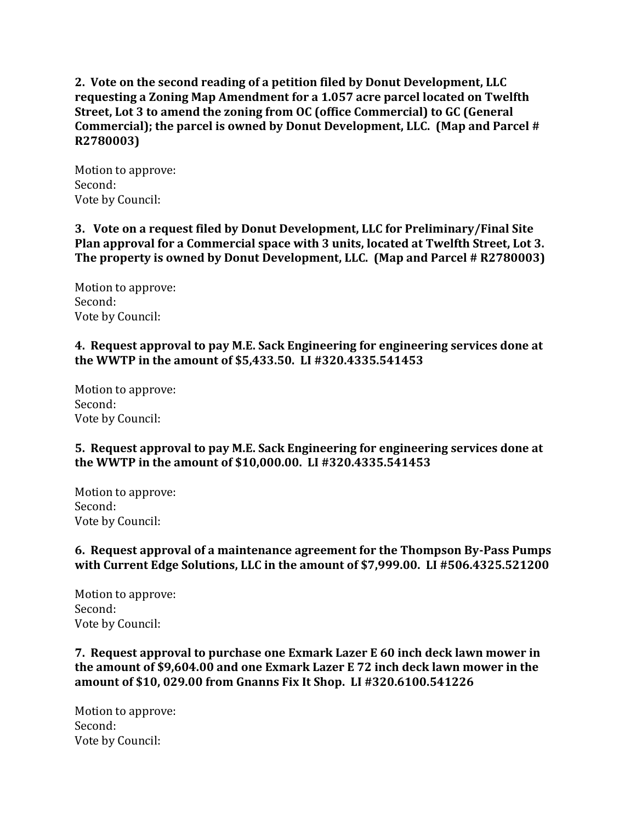**2. Vote on the second reading of a petition filed by Donut Development, LLC requesting a Zoning Map Amendment for a 1.057 acre parcel located on Twelfth Street, Lot 3 to amend the zoning from OC (office Commercial) to GC (General Commercial); the parcel is owned by Donut Development, LLC. (Map and Parcel # R2780003)**

Motion to approve: Second: Vote by Council:

**3. Vote on a request filed by Donut Development, LLC for Preliminary/Final Site Plan approval for a Commercial space with 3 units, located at Twelfth Street, Lot 3. The property is owned by Donut Development, LLC. (Map and Parcel # R2780003)**

Motion to approve: Second: Vote by Council:

## **4. Request approval to pay M.E. Sack Engineering for engineering services done at the WWTP in the amount of \$5,433.50. LI #320.4335.541453**

Motion to approve: Second: Vote by Council:

## **5. Request approval to pay M.E. Sack Engineering for engineering services done at the WWTP in the amount of \$10,000.00. LI #320.4335.541453**

Motion to approve: Second: Vote by Council:

## **6. Request approval of a maintenance agreement for the Thompson By-Pass Pumps with Current Edge Solutions, LLC in the amount of \$7,999.00. LI #506.4325.521200**

Motion to approve: Second: Vote by Council:

**7. Request approval to purchase one Exmark Lazer E 60 inch deck lawn mower in the amount of \$9,604.00 and one Exmark Lazer E 72 inch deck lawn mower in the amount of \$10, 029.00 from Gnanns Fix It Shop. LI #320.6100.541226** 

Motion to approve: Second: Vote by Council: